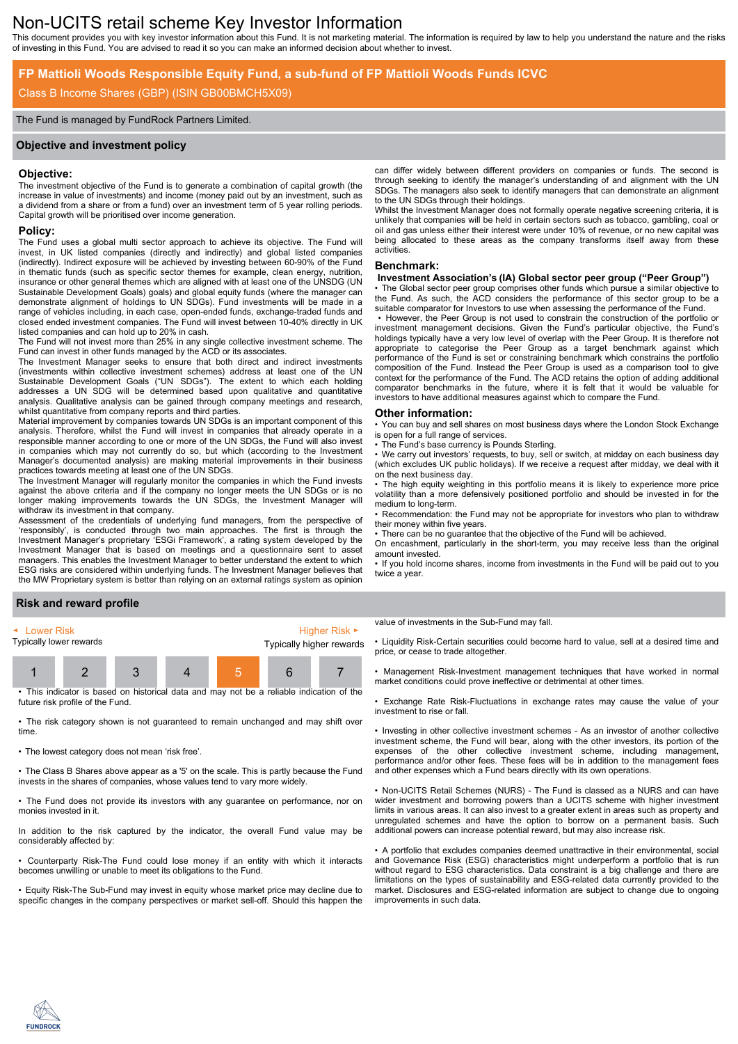# Non-UCITS retail scheme Key Investor Information

This document provides you with key investor information about this Fund. It is not marketing material. The information is required by law to help you understand the nature and the risks of investing in this Fund. You are advised to read it so you can make an informed decision about whether to invest.

# **FP Mattioli Woods Responsible Equity Fund, a sub-fund of FP Mattioli Woods Funds ICVC**

# Class B Income Shares (GBP) (ISIN GB00BMCH5X09)

### The Fund is managed by FundRock Partners Limited.

## **Objective and investment policy**

#### **Objective:**

The investment objective of the Fund is to generate a combination of capital growth (the increase in value of investments) and income (money paid out by an investment, such as a dividend from a share or from a fund) over an investment term of 5 year rolling periods. Capital growth will be prioritised over income generation.

# **Policy:**

The Fund uses a global multi sector approach to achieve its objective. The Fund will invest, in UK listed companies (directly and indirectly) and global listed companies (indirectly). Indirect exposure will be achieved by investing between 60-90% of the Fund in thematic funds (such as specific sector themes for example, clean energy, nutrition, insurance or other general themes which are aligned with at least one of the UNSDG (UN Sustainable Development Goals) goals) and global equity funds (where the manager can demonstrate alignment of holdings to UN SDGs). Fund investments will be made in a range of vehicles including, in each case, open-ended funds, exchange-traded funds and closed ended investment companies. The Fund will invest between 10-40% directly in UK listed companies and can hold up to 20% in cash.

The Fund will not invest more than 25% in any single collective investment scheme. The Fund can invest in other funds managed by the ACD or its associates

The Investment Manager seeks to ensure that both direct and indirect investments (investments within collective investment schemes) address at least one of the UN Sustainable Development Goals ("UN SDGs"). The extent to which each holding addresses a UN SDG will be determined based upon qualitative and quantitative analysis. Qualitative analysis can be gained through company meetings and research, whilst quantitative from company reports and third parties.

Material improvement by companies towards UN SDGs is an important component of this analysis. Therefore, whilst the Fund will invest in companies that already operate in a responsible manner according to one or more of the UN SDGs, the Fund will also invest in companies which may not currently do so, but which (according to the Investment Manager's documented analysis) are making material improvements in their business practices towards meeting at least one of the UN SDGs.

The Investment Manager will regularly monitor the companies in which the Fund invests against the above criteria and if the company no longer meets the UN SDGs or is no longer making improvements towards the UN SDGs, the Investment Manager will withdraw its investment in that company.

Assessment of the credentials of underlying fund managers, from the perspective of 'responsibly', is conducted through two main approaches. The first is through the Investment Manager's proprietary 'ESGi Framework', a rating system developed by the Investment Manager that is based on meetings and a questionnaire sent to asset managers. This enables the Investment Manager to better understand the extent to which ESG risks are considered within underlying funds. The Investment Manager believes that the MW Proprietary system is better than relying on an external ratings system as opinion

can differ widely between different providers on companies or funds. The second is through seeking to identify the manager's understanding of and alignment with the UN SDGs. The managers also seek to identify managers that can demonstrate an alignment to the UN SDGs through their holdings.

Whilst the Investment Manager does not formally operate negative screening criteria, it is unlikely that companies will be held in certain sectors such as tobacco, gambling, coal or oil and gas unless either their interest were under 10% of revenue, or no new capital was being allocated to these areas as the company transforms itself away from these activities.

## **Benchmark:**

## **Investment Association's (IA) Global sector peer group ("Peer Group")**

The Global sector peer group comprises other funds which pursue a similar objective to the Fund. As such, the ACD considers the performance of this sector group to be a suitable comparator for Investors to use when assessing the performance of the Fund.

• However, the Peer Group is not used to constrain the construction of the portfolio or investment management decisions. Given the Fund's particular objective, the Fund's holdings typically have a very low level of overlap with the Peer Group. It is therefore not appropriate to categorise the Peer Group as a target benchmark against which performance of the Fund is set or constraining benchmark which constrains the portfolio composition of the Fund. Instead the Peer Group is used as a comparison tool to give context for the performance of the Fund. The ACD retains the option of adding additional comparator benchmarks in the future, where it is felt that it would be valuable for investors to have additional measures against which to compare the Fund.

#### **Other information:**

• You can buy and sell shares on most business days where the London Stock Exchange is open for a full range of services.

The Fund's base currency is Pounds Sterling.

We carry out investors' requests, to buy, sell or switch, at midday on each business day (which excludes UK public holidays). If we receive a request after midday, we deal with it on the next business day.

• The high equity weighting in this portfolio means it is likely to experience more price volatility than a more defensively positioned portfolio and should be invested in for the medium to long-term.

• Recommendation: the Fund may not be appropriate for investors who plan to withdraw their money within five years.

• There can be no guarantee that the objective of the Fund will be achieved.

On encashment, particularly in the short-term, you may receive less than the original amount invested.

If you hold income shares, income from investments in the Fund will be paid out to you twice a year.

## **Risk and reward profile**



• The risk category shown is not guaranteed to remain unchanged and may shift over

time.

• The lowest category does not mean 'risk free'.

• The Class B Shares above appear as a '5' on the scale. This is partly because the Fund invests in the shares of companies, whose values tend to vary more widely.

• The Fund does not provide its investors with any guarantee on performance, nor on monies invested in it.

In addition to the risk captured by the indicator, the overall Fund value may be considerably affected by:

• Counterparty Risk-The Fund could lose money if an entity with which it interacts becomes unwilling or unable to meet its obligations to the Fund.

• Equity Risk-The Sub-Fund may invest in equity whose market price may decline due to specific changes in the company perspectives or market sell-off. Should this happen the value of investments in the Sub-Fund may fall.

• Liquidity Risk-Certain securities could become hard to value, sell at a desired time and price, or cease to trade altogether.

• Management Risk-Investment management techniques that have worked in normal market conditions could prove ineffective or detrimental at other times.

• Exchange Rate Risk-Fluctuations in exchange rates may cause the value of your investment to rise or fall.

• Investing in other collective investment schemes - As an investor of another collective investment scheme, the Fund will bear, along with the other investors, its portion of the expenses of the other collective investment scheme, including management, performance and/or other fees. These fees will be in addition to the management fees and other expenses which a Fund bears directly with its own operations.

• Non-UCITS Retail Schemes (NURS) - The Fund is classed as a NURS and can have wider investment and borrowing powers than a UCITS scheme with higher investment limits in various areas. It can also invest to a greater extent in areas such as property and unregulated schemes and have the option to borrow on a permanent basis. Such additional powers can increase potential reward, but may also increase risk.

• A portfolio that excludes companies deemed unattractive in their environmental, social and Governance Risk (ESG) characteristics might underperform a portfolio that is run without regard to ESG characteristics. Data constraint is a big challenge and there are limitations on the types of sustainability and ESG-related data currently provided to the market. Disclosures and ESG-related information are subject to change due to ongoing improvements in such data.